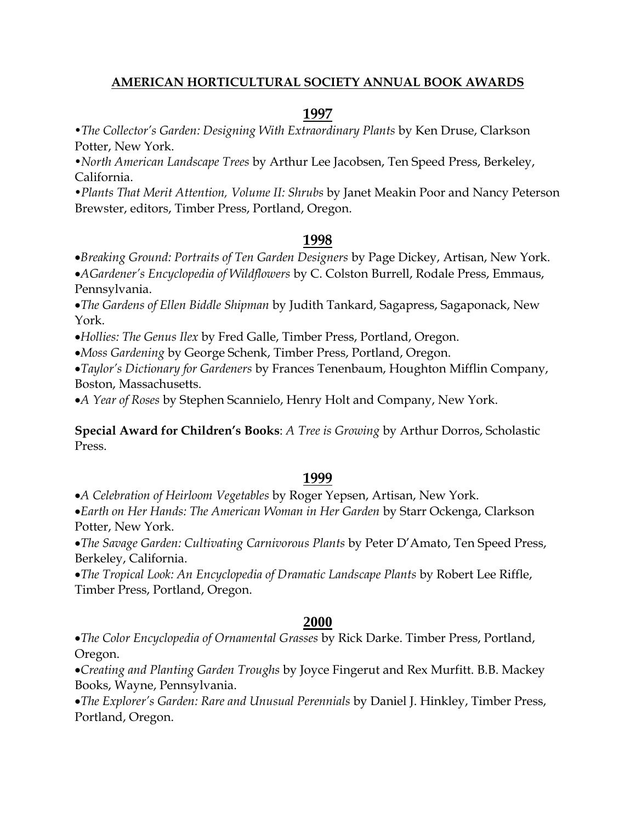#### **AMERICAN HORTICULTURAL SOCIETY ANNUAL BOOK AWARDS**

#### **1997**

*•The Collector's Garden: Designing With Extraordinary Plants* by Ken Druse, Clarkson Potter, New York.

*•North American Landscape Trees* by Arthur Lee Jacobsen, Ten Speed Press, Berkeley, California.

*•Plants That Merit Attention, Volume II: Shrubs* by Janet Meakin Poor and Nancy Peterson Brewster, editors, Timber Press, Portland, Oregon.

### **1998**

•*Breaking Ground: Portraits of Ten Garden Designers* by Page Dickey, Artisan, New York. •*AGardener's Encyclopedia of Wildflowers* by C. Colston Burrell, Rodale Press, Emmaus, Pennsylvania.

•*The Gardens of Ellen Biddle Shipman* by Judith Tankard, Sagapress, Sagaponack, New York.

•*Hollies: The Genus Ilex* by Fred Galle, Timber Press, Portland, Oregon.

•*Moss Gardening* by George Schenk, Timber Press, Portland, Oregon.

•*Taylor's Dictionary for Gardeners* by Frances Tenenbaum, Houghton Mifflin Company, Boston, Massachusetts.

•*A Year of Roses* by Stephen Scannielo, Henry Holt and Company, New York.

**Special Award for Children's Books**: *A Tree is Growing* by Arthur Dorros, Scholastic Press.

# **1999**

•*A Celebration of Heirloom Vegetables* by Roger Yepsen, Artisan, New York.

•*Earth on Her Hands: The American Woman in Her Garden* by Starr Ockenga, Clarkson Potter, New York.

•*The Savage Garden: Cultivating Carnivorous Plants* by Peter D'Amato, Ten Speed Press, Berkeley, California.

•*The Tropical Look: An Encyclopedia of Dramatic Landscape Plants* by Robert Lee Riffle, Timber Press, Portland, Oregon.

### **2000**

•*The Color Encyclopedia of Ornamental Grasses* by Rick Darke. Timber Press, Portland, Oregon.

•*Creating and Planting Garden Troughs* by Joyce Fingerut and Rex Murfitt. B.B. Mackey Books, Wayne, Pennsylvania.

•*The Explorer's Garden: Rare and Unusual Perennials* by Daniel J. Hinkley, Timber Press, Portland, Oregon.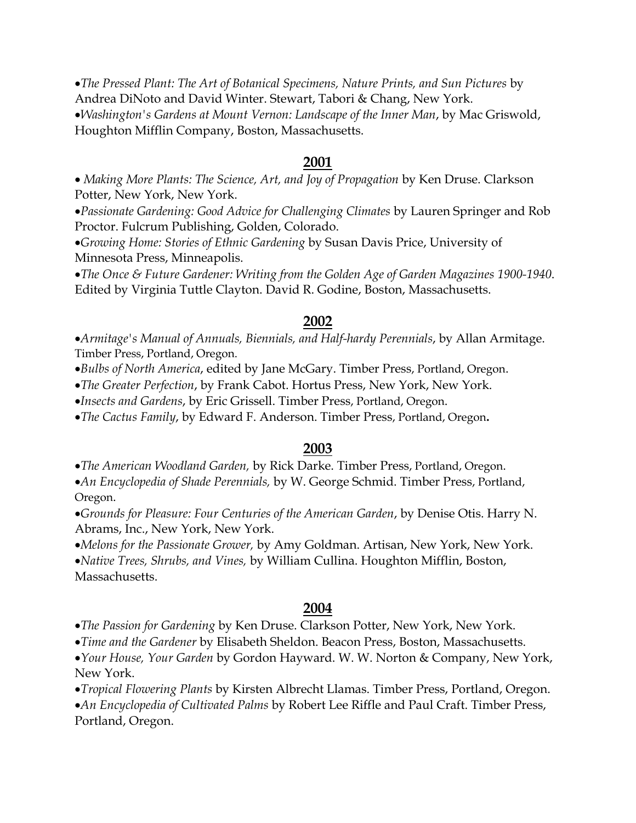•*The Pressed Plant: The Art of Botanical Specimens, Nature Prints, and Sun Pictures* by Andrea DiNoto and David Winter. Stewart, Tabori & Chang, New York. •*Washington's Gardens at Mount Vernon: Landscape of the Inner Man*, by Mac Griswold, Houghton Mifflin Company, Boston, Massachusetts.

#### **2001**

• *Making More Plants: The Science, Art, and Joy of Propagation* by Ken Druse. Clarkson Potter, New York, New York.

•*Passionate Gardening: Good Advice for Challenging Climates* by Lauren Springer and Rob Proctor. Fulcrum Publishing, Golden, Colorado.

•*Growing Home: Stories of Ethnic Gardening* by Susan Davis Price, University of Minnesota Press, Minneapolis.

•*The Once & Future Gardener: Writing from the Golden Age of Garden Magazines 1900-1940*. Edited by Virginia Tuttle Clayton. David R. Godine, Boston, Massachusetts.

#### **2002**

•*Armitage's Manual of Annuals, Biennials, and Half-hardy Perennials*, by Allan Armitage. Timber Press, Portland, Oregon.

•*Bulbs of North America*, edited by Jane McGary. Timber Press, Portland, Oregon.

•*The Greater Perfection*, by Frank Cabot. Hortus Press, New York, New York.

•*Insects and Gardens*, by Eric Grissell. Timber Press, Portland, Oregon.

•*The Cactus Family*, by Edward F. Anderson. Timber Press, Portland, Oregon**.**

#### **2003**

•*The American Woodland Garden,* by Rick Darke. Timber Press, Portland, Oregon.

•*An Encyclopedia of Shade Perennials,* by W. George Schmid. Timber Press, Portland, Oregon.

•*Grounds for Pleasure: Four Centuries of the American Garden*, by Denise Otis. Harry N. Abrams, Inc., New York, New York.

•*Melons for the Passionate Grower,* by Amy Goldman. Artisan, New York, New York.

•*Native Trees, Shrubs, and Vines,* by William Cullina. Houghton Mifflin, Boston, Massachusetts.

#### **2004**

•*The Passion for Gardening* by Ken Druse. Clarkson Potter, New York, New York.

•*Time and the Gardener* by Elisabeth Sheldon. Beacon Press, Boston, Massachusetts.

•*Your House, Your Garden* by Gordon Hayward. W. W. Norton & Company, New York, New York.

•*Tropical Flowering Plants* by Kirsten Albrecht Llamas. Timber Press, Portland, Oregon. •*An Encyclopedia of Cultivated Palms* by Robert Lee Riffle and Paul Craft. Timber Press, Portland, Oregon.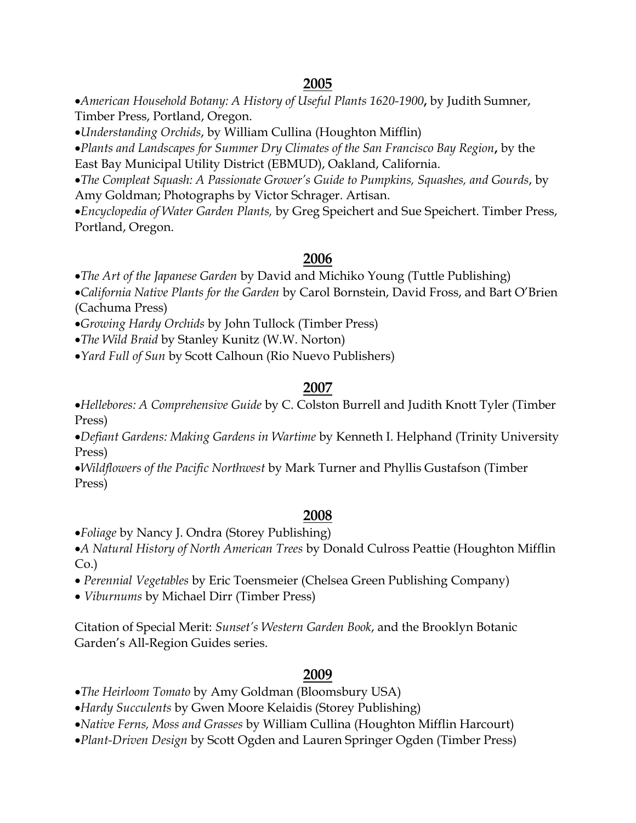# **2005**

•*American Household Botany: A History of Useful Plants 1620-1900***,** by Judith Sumner, Timber Press, Portland, Oregon.

•*Understanding Orchids*, by William Cullina (Houghton Mifflin)

•*Plants and Landscapes for Summer Dry Climates of the San Francisco Bay Region***,** by the East Bay Municipal Utility District (EBMUD), Oakland, California.

•*The Compleat Squash: A Passionate Grower's Guide to Pumpkins, Squashes, and Gourds*, by Amy Goldman; Photographs by Victor Schrager. Artisan.

•*Encyclopedia of Water Garden Plants,* by Greg Speichert and Sue Speichert. Timber Press, Portland, Oregon.

# **2006**

•*The Art of the Japanese Garden* by David and Michiko Young (Tuttle Publishing)

•*California Native Plants for the Garden* by Carol Bornstein, David Fross, and Bart O'Brien (Cachuma Press)

•*Growing Hardy Orchids* by John Tullock (Timber Press)

•*The Wild Braid* by Stanley Kunitz (W.W. Norton)

•*Yard Full of Sun* by Scott Calhoun (Rio Nuevo Publishers)

# **2007**

•*Hellebores: A Comprehensive Guide* by C. Colston Burrell and Judith Knott Tyler (Timber Press)

•*Defiant Gardens: Making Gardens in Wartime* by Kenneth I. Helphand (Trinity University Press)

•*Wildflowers of the Pacific Northwest* by Mark Turner and Phyllis Gustafson (Timber Press)

### **2008**

•*Foliage* by Nancy J. Ondra (Storey Publishing)

•*A Natural History of North American Trees* by Donald Culross Peattie (Houghton Mifflin Co.)

• *Perennial Vegetables* by Eric Toensmeier (Chelsea Green Publishing Company)

• *Viburnums* by Michael Dirr (Timber Press)

Citation of Special Merit: *Sunset's Western Garden Book*, and the Brooklyn Botanic Garden's All-Region Guides series.

# **2009**

•*The Heirloom Tomato* by Amy Goldman (Bloomsbury USA)

•*Hardy Succulents* by Gwen Moore Kelaidis (Storey Publishing)

•*Native Ferns, Moss and Grasses* by William Cullina (Houghton Mifflin Harcourt)

•*Plant-Driven Design* by Scott Ogden and Lauren Springer Ogden (Timber Press)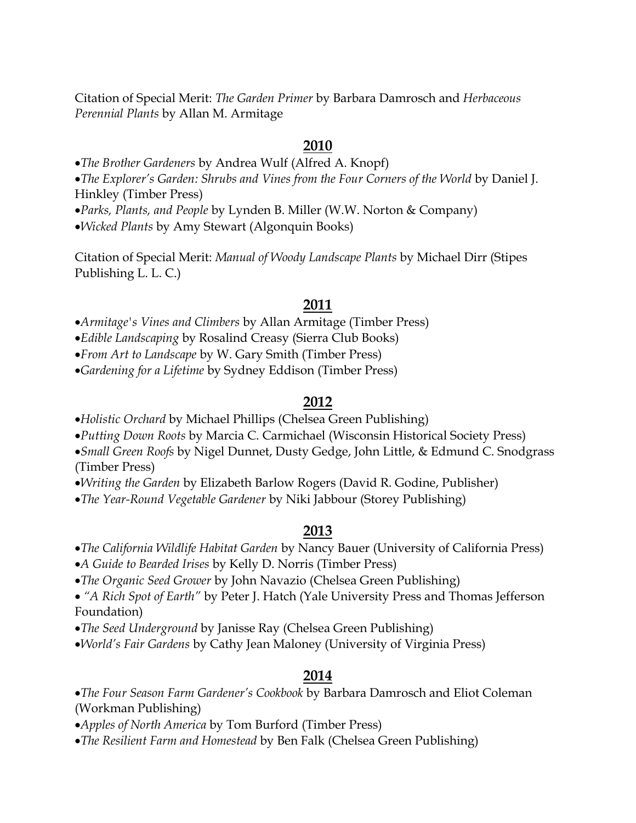Citation of Special Merit: *The Garden Primer* by Barbara Damrosch and *Herbaceous Perennial Plants* by Allan M. Armitage

#### **2010**

•*The Brother Gardeners* by Andrea Wulf (Alfred A. Knopf)

•*The Explorer's Garden: Shrubs and Vines from the Four Corners of the World* by Daniel J. Hinkley (Timber Press)

•*Parks, Plants, and People* by Lynden B. Miller (W.W. Norton & Company)

•*Wicked Plants* by Amy Stewart (Algonquin Books)

Citation of Special Merit: *Manual of Woody Landscape Plants* by Michael Dirr (Stipes Publishing L. L. C.)

#### **2011**

•*Armitage's Vines and Climbers* by Allan Armitage (Timber Press)

•*Edible Landscaping* by Rosalind Creasy (Sierra Club Books)

•*From Art to Landscape* by W. Gary Smith (Timber Press)

•*Gardening for a Lifetime* by Sydney Eddison (Timber Press)

#### **2012**

•*Holistic Orchard* by Michael Phillips (Chelsea Green Publishing)

•*Putting Down Roots* by Marcia C. Carmichael (Wisconsin Historical Society Press)

•*Small Green Roofs* by Nigel Dunnet, Dusty Gedge, John Little, & Edmund C. Snodgrass (Timber Press)

•*Writing the Garden* by Elizabeth Barlow Rogers (David R. Godine, Publisher)

•*The Year-Round Vegetable Gardener* by Niki Jabbour (Storey Publishing)

### **2013**

•*The California Wildlife Habitat Garden* by Nancy Bauer (University of California Press)

•*A Guide to Bearded Irises* by Kelly D. Norris (Timber Press)

•*The Organic Seed Grower* by John Navazio (Chelsea Green Publishing)

• *"A Rich Spot of Earth"* by Peter J. Hatch (Yale University Press and Thomas Jefferson Foundation)

•*The Seed Underground* by Janisse Ray (Chelsea Green Publishing)

•*World's Fair Gardens* by Cathy Jean Maloney (University of Virginia Press)

# **2014**

•*The Four Season Farm Gardener's Cookbook* by Barbara Damrosch and Eliot Coleman (Workman Publishing)

•*Apples of North America* by Tom Burford (Timber Press)

•*The Resilient Farm and Homestead* by Ben Falk (Chelsea Green Publishing)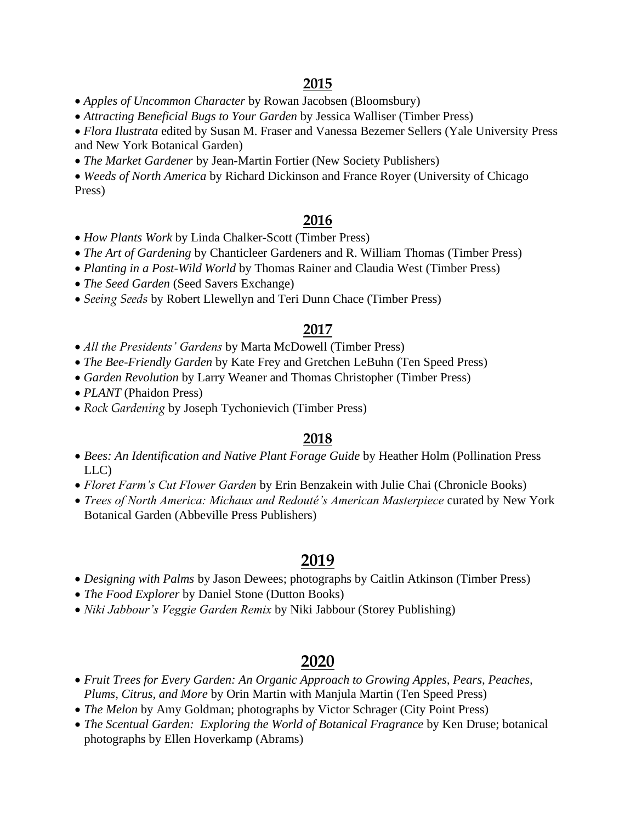• *Apples of Uncommon Character* by Rowan Jacobsen (Bloomsbury)

• *Attracting Beneficial Bugs to Your Garden* by Jessica Walliser (Timber Press)

• *Flora Ilustrata* edited by Susan M. Fraser and Vanessa Bezemer Sellers (Yale University Press and New York Botanical Garden)

• *The Market Gardener* by Jean-Martin Fortier (New Society Publishers)

• *Weeds of North America* by Richard Dickinson and France Royer (University of Chicago Press)

### **2016**

- *How Plants Work* by Linda Chalker-Scott (Timber Press)
- *The Art of Gardening* by Chanticleer Gardeners and R. William Thomas (Timber Press)
- *Planting in a Post-Wild World* by Thomas Rainer and Claudia West (Timber Press)
- *The Seed Garden* (Seed Savers Exchange)
- *Seeing Seeds* by Robert Llewellyn and Teri Dunn Chace (Timber Press)

### **2017**

- *All the Presidents' Gardens* by Marta McDowell (Timber Press)
- *The Bee-Friendly Garden* by Kate Frey and Gretchen LeBuhn (Ten Speed Press)
- *Garden Revolution* by Larry Weaner and Thomas Christopher (Timber Press)
- *PLANT* (Phaidon Press)
- *Rock Gardening* by Joseph Tychonievich (Timber Press)

### **2018**

- *Bees: An Identification and Native Plant Forage Guide* by Heather Holm (Pollination Press LLC)
- *Floret Farm's Cut Flower Garden* by Erin Benzakein with Julie Chai (Chronicle Books)
- *Trees of North America: Michaux and Redouté's American Masterpiece* curated by New York Botanical Garden (Abbeville Press Publishers)

# **2019**

- *Designing with Palms* by Jason Dewees; photographs by Caitlin Atkinson (Timber Press)
- *The Food Explorer* by Daniel Stone (Dutton Books)
- *Niki Jabbour's Veggie Garden Remix* by Niki Jabbour (Storey Publishing)

# **2020**

- *Fruit Trees for Every Garden: An Organic Approach to Growing Apples, Pears, Peaches, Plums, Citrus, and More* by Orin Martin with Manjula Martin (Ten Speed Press)
- *The Melon* by Amy Goldman; photographs by Victor Schrager (City Point Press)
- *The Scentual Garden: Exploring the World of Botanical Fragrance* by Ken Druse; botanical photographs by Ellen Hoverkamp (Abrams)